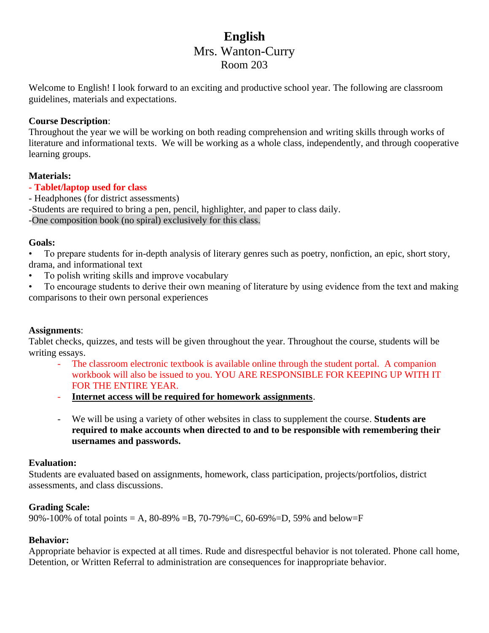# **English** Mrs. Wanton-Curry Room 203

Welcome to English! I look forward to an exciting and productive school year. The following are classroom guidelines, materials and expectations.

# **Course Description**:

Throughout the year we will be working on both reading comprehension and writing skills through works of literature and informational texts. We will be working as a whole class, independently, and through cooperative learning groups.

## **Materials:**

## **- Tablet/laptop used for class**

- Headphones (for district assessments)
- -Students are required to bring a pen, pencil, highlighter, and paper to class daily.

-One composition book (no spiral) exclusively for this class.

## **Goals:**

• To prepare students for in-depth analysis of literary genres such as poetry, nonfiction, an epic, short story, drama, and informational text

• To polish writing skills and improve vocabulary

• To encourage students to derive their own meaning of literature by using evidence from the text and making comparisons to their own personal experiences

## **Assignments**:

Tablet checks, quizzes, and tests will be given throughout the year. Throughout the course, students will be writing essays.

- The classroom electronic textbook is available online through the student portal. A companion workbook will also be issued to you. YOU ARE RESPONSIBLE FOR KEEPING UP WITH IT FOR THE ENTIRE YEAR.
- **Internet access will be required for homework assignments**.
- We will be using a variety of other websites in class to supplement the course. **Students are required to make accounts when directed to and to be responsible with remembering their usernames and passwords.**

# **Evaluation:**

Students are evaluated based on assignments, homework, class participation, projects/portfolios, district assessments, and class discussions.

# **Grading Scale:**

90%-100% of total points = A, 80-89% = B, 70-79% = C, 60-69% = D, 59% and below= F

# **Behavior:**

Appropriate behavior is expected at all times. Rude and disrespectful behavior is not tolerated. Phone call home, Detention, or Written Referral to administration are consequences for inappropriate behavior.